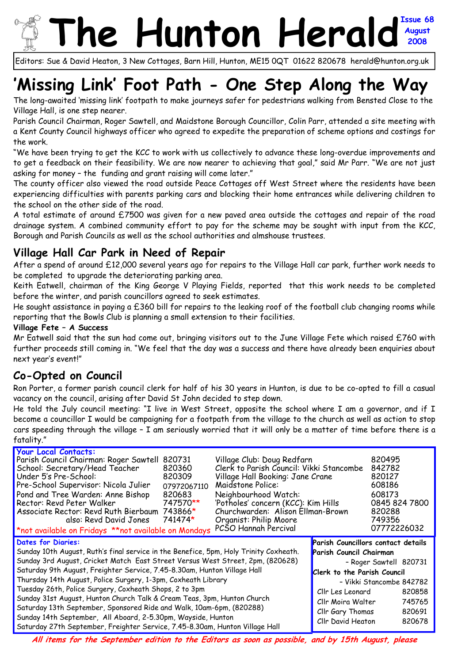# **he Hunton Heral August 2008**

Editors: Sue & David Heaton, 3 New Cottages, Barn Hill, Hunton, ME15 0QT 01622 820678 herald@hunton.org.uk

# **'Missing Link' Foot Path - One Step Along the Way**

The long-awaited 'missing link' footpath to make journeys safer for pedestrians walking from Bensted Close to the Village Hall, is one step nearer.

Parish Council Chairman, Roger Sawtell, and Maidstone Borough Councillor, Colin Parr, attended a site meeting with a Kent County Council highways officer who agreed to expedite the preparation of scheme options and costings for the work.

"We have been trying to get the KCC to work with us collectively to advance these long-overdue improvements and to get a feedback on their feasibility. We are now nearer to achieving that goal," said Mr Parr. "We are not just asking for money – the funding and grant raising will come later."

The county officer also viewed the road outside Peace Cottages off West Street where the residents have been experiencing difficulties with parents parking cars and blocking their home entrances while delivering children to the school on the other side of the road.

A total estimate of around £7500 was given for a new paved area outside the cottages and repair of the road drainage system. A combined community effort to pay for the scheme may be sought with input from the KCC, Borough and Parish Councils as well as the school authorities and almshouse trustees.

### **Village Hall Car Park in Need of Repair**

After a spend of around £12,000 several years ago for repairs to the Village Hall car park, further work needs to be completed to upgrade the deteriorating parking area.

Keith Eatwell, chairman of the King George V Playing Fields, reported that this work needs to be completed before the winter, and parish councillors agreed to seek estimates.

He sought assistance in paying a £360 bill for repairs to the leaking roof of the football club changing rooms while reporting that the Bowls Club is planning a small extension to their facilities.

#### **Village Fete – A Success**

Mr Eatwell said that the sun had come out, bringing visitors out to the June Village Fete which raised £760 with further proceeds still coming in. "We feel that the day was a success and there have already been enquiries about next year's event!"

### **Co-Opted on Council**

Ron Porter, a former parish council clerk for half of his 30 years in Hunton, is due to be co-opted to fill a casual vacancy on the council, arising after David St John decided to step down.

He told the July council meeting: "I live in West Street, opposite the school where I am a governor, and if I become a councillor I would be campaigning for a footpath from the village to the church as well as action to stop cars speeding through the village – I am seriously worried that it will only be a matter of time before there is a fatality."

| <b>Your Local Contacts:</b><br>Parish Council Chairman: Roger Sawtell<br>School: Secretary/Head Teacher<br>Under 5's Pre-School:<br>Pre-School Supervisor: Nicola Julier<br>Pond and Tree Warden: Anne Bishop<br>Rector: Revd Peter Walker<br>Associate Rector: Revd Ruth Bierbaum 743866*<br>also: Revd David Jones 741474*<br>*not available on Fridays **not available on Mondays                                                                                                                                                                                                                                                                                                                           | 820731<br>820360<br>820309<br>07972067110<br>820683<br>747570** | Village Club: Doug Redfarn<br>Clerk to Parish Council: Vikki Stancombe<br>Village Hall Booking: Jane Crane<br>Maidstone Police:<br>Neighbourhood Watch:<br>'Potholes' concern (KCC): Kim Hills<br>Churchwarden: Alison Ellman-Brown<br>Organist: Philip Moore<br>PCSO Hannah Percival |                                                                                                                                                                                                                                                                                            | 820495<br>842782<br>820127<br>608186<br>608173<br>0845 824 7800<br>820288<br>749356<br>07772226032 |
|----------------------------------------------------------------------------------------------------------------------------------------------------------------------------------------------------------------------------------------------------------------------------------------------------------------------------------------------------------------------------------------------------------------------------------------------------------------------------------------------------------------------------------------------------------------------------------------------------------------------------------------------------------------------------------------------------------------|-----------------------------------------------------------------|---------------------------------------------------------------------------------------------------------------------------------------------------------------------------------------------------------------------------------------------------------------------------------------|--------------------------------------------------------------------------------------------------------------------------------------------------------------------------------------------------------------------------------------------------------------------------------------------|----------------------------------------------------------------------------------------------------|
| <b>Dates for Diaries:</b><br>Sunday 10th August, Ruth's final service in the Benefice, 5pm, Holy Trinity Coxheath.<br>Sunday 3rd August, Cricket Match East Street Versus West Street, 2pm, (820628)<br>Saturday 9th August, Freighter Service, 7.45-8.30am, Hunton Village Hall<br>Thursday 14th August, Police Surgery, 1-3pm, Coxheath Library<br>Tuesday 26th, Police Surgery, Coxheath Shops, 2 to 3pm<br>Sunday 31st August, Hunton Church Talk & Cream Teas, 3pm, Hunton Church<br>Saturday 13th September, Sponsored Ride and Walk, 10am-6pm, (820288)<br>Sunday 14th September, All Aboard, 2-5.30pm, Wayside, Hunton<br>Saturday 27th September, Freighter Service, 7.45-8.30am, Hunton Village Hall |                                                                 |                                                                                                                                                                                                                                                                                       | <b>Parish Councillors contact details</b><br>Parish Council Chairman<br>- Roger Sawtell 820731<br><b>Clerk to the Parish Council</b><br>- Vikki Stancombe 842782<br>Cllr Les Leonard<br>820858<br>745765<br>Cllr Moira Walter<br>820691<br>Cllr Gary Thomas<br>Cllr David Heaton<br>820678 |                                                                                                    |

**All items for the September edition to the Editors as soon as possible, and by 15th August, please**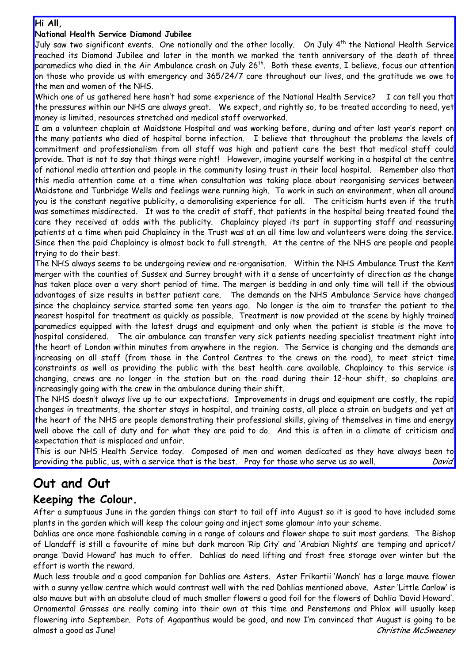#### **Hi All,**

#### **National Health Service Diamond Jubilee**

July saw two significant events. One nationally and the other locally. On July 4<sup>th</sup> the National Health Service reached its Diamond Jubilee and later in the month we marked the tenth anniversary of the death of three paramedics who died in the Air Ambulance crash on July 26<sup>th</sup>. Both these events, I believe, focus our attention on those who provide us with emergency and 365/24/7 care throughout our lives, and the gratitude we owe to the men and women of the NHS.

Which one of us gathered here hasn't had some experience of the National Health Service? I can tell you that the pressures within our NHS are always great. We expect, and rightly so, to be treated according to need, yet money is limited, resources stretched and medical staff overworked.

I am a volunteer chaplain at Maidstone Hospital and was working before, during and after last year's report on the many patients who died of hospital borne infection. I believe that throughout the problems the levels of commitment and professionalism from all staff was high and patient care the best that medical staff could provide. That is not to say that things were right! However, imagine yourself working in a hospital at the centre of national media attention and people in the community losing trust in their local hospital. Remember also that this media attention came at a time when consultation was taking place about reorganising services between Maidstone and Tunbridge Wells and feelings were running high. To work in such an environment, when all around you is the constant negative publicity, a demoralising experience for all. The criticism hurts even if the truth was sometimes misdirected. It was to the credit of staff, that patients in the hospital being treated found the care they received at odds with the publicity. Chaplaincy played its part in supporting staff and reassuring patients at a time when paid Chaplaincy in the Trust was at an all time low and volunteers were doing the service. Since then the paid Chaplaincy is almost back to full strength. At the centre of the NHS are people and people trying to do their best.

The NHS always seems to be undergoing review and re-organisation. Within the NHS Ambulance Trust the Kent merger with the counties of Sussex and Surrey brought with it a sense of uncertainty of direction as the change has taken place over a very short period of time. The merger is bedding in and only time will tell if the obvious advantages of size results in better patient care. The demands on the NHS Ambulance Service have changed since the chaplaincy service started some ten years ago. No longer is the aim to transfer the patient to the nearest hospital for treatment as quickly as possible. Treatment is now provided at the scene by highly trained paramedics equipped with the latest drugs and equipment and only when the patient is stable is the move to hospital considered. The air ambulance can transfer very sick patients needing specialist treatment right into the heart of London within minutes from anywhere in the region. The Service is changing and the demands are increasing on all staff (from those in the Control Centres to the crews on the road), to meet strict time constraints as well as providing the public with the best health care available. Chaplaincy to this service is changing, crews are no longer in the station but on the road during their 12-hour shift, so chaplains are increasingly going with the crew in the ambulance during their shift.

The NHS doesn't always live up to our expectations. Improvements in drugs and equipment are costly, the rapid changes in treatments, the shorter stays in hospital, and training costs, all place a strain on budgets and yet at the heart of the NHS are people demonstrating their professional skills, giving of themselves in time and energy well above the call of duty and for what they are paid to do. And this is often in a climate of criticism and expectation that is misplaced and unfair.

This is our NHS Health Service today. Composed of men and women dedicated as they have always been to providing the public, us, with a service that is the best. Pray for those who serve us so well. 2001 David

### **Out and Out**

#### **Keeping the Colour.**

After a sumptuous June in the garden things can start to tail off into August so it is good to have included some plants in the garden which will keep the colour going and inject some glamour into your scheme.

Dahlias are once more fashionable coming in a range of colours and flower shape to suit most gardens. The Bishop of Llandaff is still a favourite of mine but dark maroon 'Rip City' and 'Arabian Nights' are temping and apricot/ orange 'David Howard' has much to offer. Dahlias do need lifting and frost free storage over winter but the effort is worth the reward.

Much less trouble and a good companion for Dahlias are Asters. Aster Frikartii 'Monch' has a large mauve flower with a sunny yellow centre which would contrast well with the red Dahlias mentioned above. Aster 'Little Carlow' is also mauve but with an absolute cloud of much smaller flowers a good foil for the flowers of Dahlia 'David Howard'.

Ornamental Grasses are really coming into their own at this time and Penstemons and Phlox will usually keep flowering into September. Pots of Agapanthus would be good, and now I'm convinced that August is going to be almost a good as June! Christine McSweeney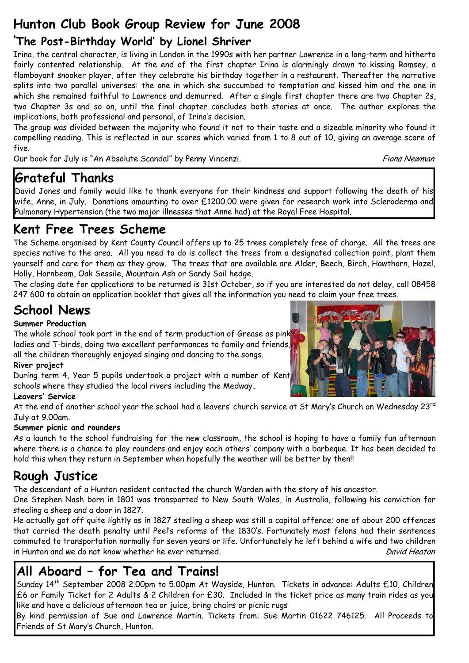# **Hunton Club Book Group Review for June 2008**

### **'The Post-Birthday World' by Lionel Shriver**

Irina, the central character, is living in London in the 1990s with her partner Lawrence in a long-term and hitherto fairly contented relationship. At the end of the first chapter Irina is alarmingly drawn to kissing Ramsey, a flamboyant snooker player, after they celebrate his birthday together in a restaurant. Thereafter the narrative splits into two parallel universes: the one in which she succumbed to temptation and kissed him and the one in which she remained faithful to Lawrence and demurred. After a single first chapter there are two Chapter 2s, two Chapter 3s and so on, until the final chapter concludes both stories at once. The author explores the implications, both professional and personal, of Irina's decision.

The group was divided between the majority who found it not to their taste and a sizeable minority who found it compelling reading. This is reflected in our scores which varied from 1 to 8 out of 10, giving an average score of five.

Our book for July is "An Absolute Scandal" by Penny Vincenzi. The Common Control of the Scandal Piona Newman

### **Grateful Thanks**

David Jones and family would like to thank everyone for their kindness and support following the death of his wife, Anne, in July. Donations amounting to over £1200.00 were given for research work into Scleroderma and Pulmonary Hypertension (the two major illnesses that Anne had) at the Royal Free Hospital.

### **Kent Free Trees Scheme**

The Scheme organised by Kent County Council offers up to 25 trees completely free of charge. All the trees are species native to the area. All you need to do is collect the trees from a designated collection point, plant them yourself and care for them as they grow. The trees that are available are Alder, Beech, Birch, Hawthorn, Hazel, Holly, Hornbeam, Oak Sessile, Mountain Ash or Sandy Soil hedge.

The closing date for applications to be returned is 31st October, so if you are interested do not delay, call 08458 247 600 to obtain an application booklet that gives all the information you need to claim your free trees.

# **School News**

#### **Summer Production**

The whole school took part in the end of term production of Grease as pink ladies and T-birds, doing two excellent performances to family and friends, all the children thoroughly enjoyed singing and dancing to the songs.

#### **River project**

During term 4, Year 5 pupils undertook a project with a number of Kent schools where they studied the local rivers including the Medway**.**

#### **Leavers' Service**

At the end of another school year the school had a leavers' church service at St Mary's Church on Wednesday 23rd July at 9.00am.

#### **Summer picnic and rounders**

As a launch to the school fundraising for the new classroom, the school is hoping to have a family fun afternoon where there is a chance to play rounders and enjoy each others' company with a barbeque. It has been decided to hold this when they return in September when hopefully the weather will be better by then!!

### **Rough Justice**

The descendant of a Hunton resident contacted the church Warden with the story of his ancestor.

One Stephen Nash born in 1801 was transported to New South Wales, in Australia, following his conviction for stealing a sheep and a door in 1827.

He actually got off quite lightly as in 1827 stealing a sheep was still a capital offence; one of about 200 offences that carried the death penalty until Peel's reforms of the 1830's. Fortunately most felons had their sentences commuted to transportation normally for seven years or life. Unfortunately he left behind a wife and two children in Hunton and we do not know whether he ever returned. The control of the control of the part of the David Heaton

# **All Aboard – for Tea and Trains!**

Sunday 14th September 2008 2.00pm to 5.00pm At Wayside, Hunton. Tickets in advance: Adults £10, Children £6 or Family Ticket for 2 Adults & 2 Children for £30. Included in the ticket price as many train rides as you like and have a delicious afternoon tea or juice, bring chairs or picnic rugs

By kind permission of Sue and Lawrence Martin. Tickets from: Sue Martin 01622 746125. All Proceeds to Friends of St Mary's Church, Hunton.